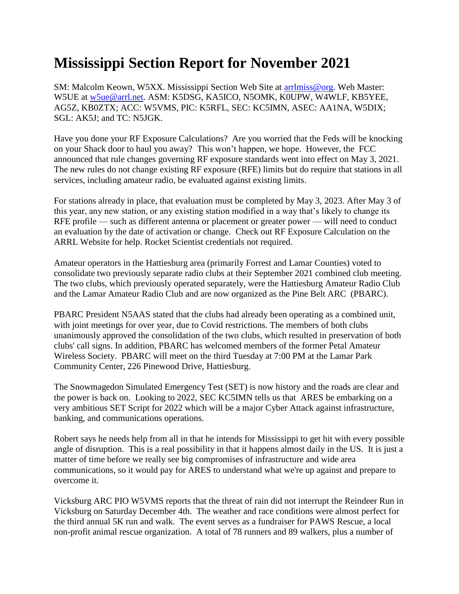## **Mississippi Section Report for November 2021**

SM: Malcolm Keown, W5XX. Mississippi Section Web Site at [arrlmiss@org.](mailto:arrlmiss@org) Web Master: W5UE at [w5ue@arrl.net.](mailto:w5ue@arrl.net) ASM: K5DSG, KA5ICO, N5OMK, K0UPW, W4WLF, KB5YEE, AG5Z, KB0ZTX; ACC: W5VMS, PIC: K5RFL, SEC: KC5IMN, ASEC: AA1NA, W5DIX; SGL: AK5J; and TC: N5JGK.

Have you done your RF Exposure Calculations? Are you worried that the Feds will be knocking on your Shack door to haul you away? This won't happen, we hope. However, the FCC announced that rule changes governing RF exposure standards went into effect on May 3, 2021. The new rules do not change existing RF exposure (RFE) limits but do require that stations in all services, including amateur radio, be evaluated against existing limits.

For stations already in place, that evaluation must be completed by May 3, 2023. After May 3 of this year, any new station, or any existing station modified in a way that's likely to change its RFE profile — such as different antenna or placement or greater power — will need to conduct an evaluation by the date of activation or change. Check out RF Exposure Calculation on the ARRL Website for help. Rocket Scientist credentials not required.

Amateur operators in the Hattiesburg area (primarily Forrest and Lamar Counties) voted to consolidate two previously separate radio clubs at their September 2021 combined club meeting. The two clubs, which previously operated separately, were the Hattiesburg Amateur Radio Club and the Lamar Amateur Radio Club and are now organized as the Pine Belt ARC (PBARC).

PBARC President N5AAS stated that the clubs had already been operating as a combined unit, with joint meetings for over year, due to Covid restrictions. The members of both clubs unanimously approved the consolidation of the two clubs, which resulted in preservation of both clubs' call signs. In addition, PBARC has welcomed members of the former Petal Amateur Wireless Society. PBARC will meet on the third Tuesday at 7:00 PM at the Lamar Park Community Center, 226 Pinewood Drive, Hattiesburg.

The Snowmagedon Simulated Emergency Test (SET) is now history and the roads are clear and the power is back on. Looking to 2022, SEC KC5IMN tells us that ARES be embarking on a very ambitious SET Script for 2022 which will be a major Cyber Attack against infrastructure, banking, and communications operations.

Robert says he needs help from all in that he intends for Mississippi to get hit with every possible angle of disruption. This is a real possibility in that it happens almost daily in the US. It is just a matter of time before we really see big compromises of infrastructure and wide area communications, so it would pay for ARES to understand what we're up against and prepare to overcome it.

Vicksburg ARC PIO W5VMS reports that the threat of rain did not interrupt the Reindeer Run in Vicksburg on Saturday December 4th. The weather and race conditions were almost perfect for the third annual 5K run and walk. The event serves as a fundraiser for PAWS Rescue, a local non-profit animal rescue organization. A total of 78 runners and 89 walkers, plus a number of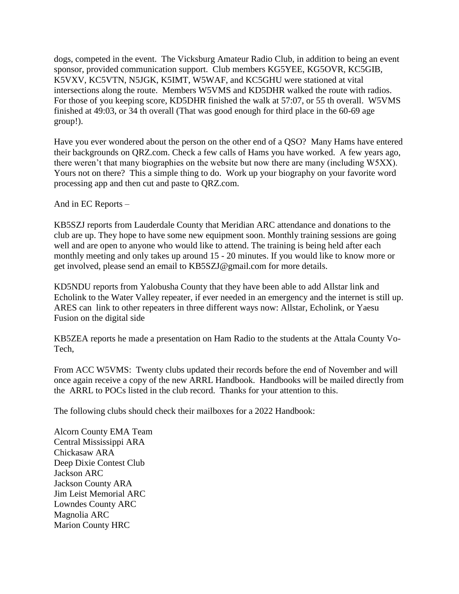dogs, competed in the event. The Vicksburg Amateur Radio Club, in addition to being an event sponsor, provided communication support. Club members KG5YEE, KG5OVR, KC5GIB, K5VXV, KC5VTN, N5JGK, K5IMT, W5WAF, and KC5GHU were stationed at vital intersections along the route. Members W5VMS and KD5DHR walked the route with radios. For those of you keeping score, KD5DHR finished the walk at 57:07, or 55 th overall. W5VMS finished at 49:03, or 34 th overall (That was good enough for third place in the 60-69 age group!).

Have you ever wondered about the person on the other end of a QSO? Many Hams have entered their backgrounds on QRZ.com. Check a few calls of Hams you have worked. A few years ago, there weren't that many biographies on the website but now there are many (including W5XX). Yours not on there? This a simple thing to do. Work up your biography on your favorite word processing app and then cut and paste to QRZ.com.

And in EC Reports –

KB5SZJ reports from Lauderdale County that Meridian ARC attendance and donations to the club are up. They hope to have some new equipment soon. Monthly training sessions are going well and are open to anyone who would like to attend. The training is being held after each monthly meeting and only takes up around 15 - 20 minutes. If you would like to know more or get involved, please send an email to KB5SZJ@gmail.com for more details.

KD5NDU reports from Yalobusha County that they have been able to add Allstar link and Echolink to the Water Valley repeater, if ever needed in an emergency and the internet is still up. ARES can link to other repeaters in three different ways now: Allstar, Echolink, or Yaesu Fusion on the digital side

KB5ZEA reports he made a presentation on Ham Radio to the students at the Attala County Vo-Tech,

From ACC W5VMS: Twenty clubs updated their records before the end of November and will once again receive a copy of the new ARRL Handbook. Handbooks will be mailed directly from the ARRL to POCs listed in the club record. Thanks for your attention to this.

The following clubs should check their mailboxes for a 2022 Handbook:

Alcorn County EMA Team Central Mississippi ARA Chickasaw ARA Deep Dixie Contest Club Jackson ARC Jackson County ARA Jim Leist Memorial ARC Lowndes County ARC Magnolia ARC Marion County HRC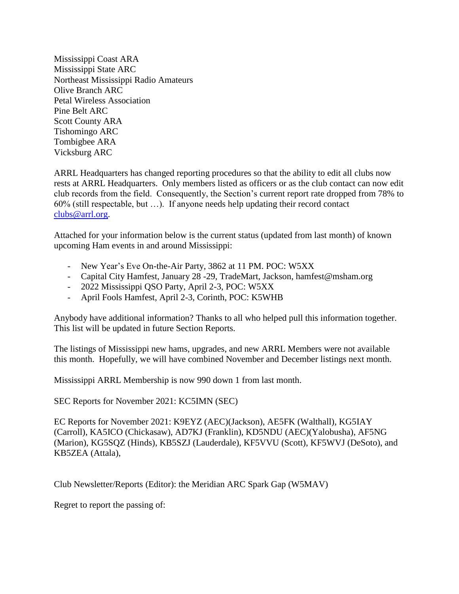Mississippi Coast ARA Mississippi State ARC Northeast Mississippi Radio Amateurs Olive Branch ARC Petal Wireless Association Pine Belt ARC Scott County ARA Tishomingo ARC Tombigbee ARA Vicksburg ARC

ARRL Headquarters has changed reporting procedures so that the ability to edit all clubs now rests at ARRL Headquarters. Only members listed as officers or as the club contact can now edit club records from the field. Consequently, the Section's current report rate dropped from 78% to 60% (still respectable, but …). If anyone needs help updating their record contact [clubs@arrl.org.](https://webmail.cablelynx.com/webmail/src/compose.php?send_to=clubs%40arrl.org)

Attached for your information below is the current status (updated from last month) of known upcoming Ham events in and around Mississippi:

- New Year's Eve On-the-Air Party, 3862 at 11 PM. POC: W5XX
- Capital City Hamfest, January 28 -29, TradeMart, Jackson, hamfest@msham.org
- 2022 Mississippi QSO Party, April 2-3, POC: W5XX
- April Fools Hamfest, April 2-3, Corinth, POC: K5WHB

Anybody have additional information? Thanks to all who helped pull this information together. This list will be updated in future Section Reports.

The listings of Mississippi new hams, upgrades, and new ARRL Members were not available this month. Hopefully, we will have combined November and December listings next month.

Mississippi ARRL Membership is now 990 down 1 from last month.

SEC Reports for November 2021: KC5IMN (SEC)

EC Reports for November 2021: K9EYZ (AEC)(Jackson), AE5FK (Walthall), KG5IAY (Carroll), KA5ICO (Chickasaw), AD7KJ (Franklin), KD5NDU (AEC)(Yalobusha), AF5NG (Marion), KG5SQZ (Hinds), KB5SZJ (Lauderdale), KF5VVU (Scott), KF5WVJ (DeSoto), and KB5ZEA (Attala),

Club Newsletter/Reports (Editor): the Meridian ARC Spark Gap (W5MAV)

Regret to report the passing of: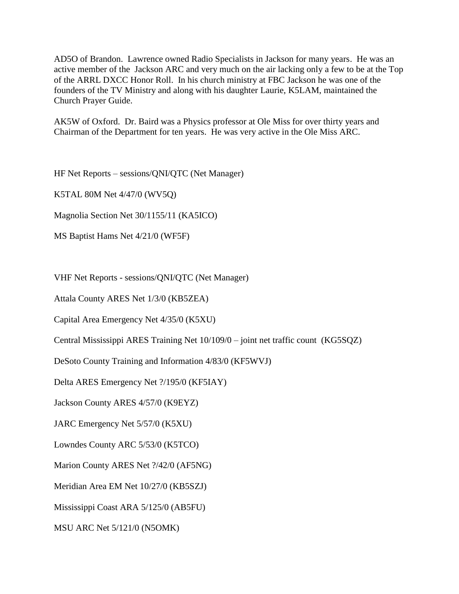AD5O of Brandon. Lawrence owned Radio Specialists in Jackson for many years. He was an active member of the Jackson ARC and very much on the air lacking only a few to be at the Top of the ARRL DXCC Honor Roll. In his church ministry at FBC Jackson he was one of the founders of the TV Ministry and along with his daughter Laurie, K5LAM, maintained the Church Prayer Guide.

AK5W of Oxford. Dr. Baird was a Physics professor at Ole Miss for over thirty years and Chairman of the Department for ten years. He was very active in the Ole Miss ARC.

HF Net Reports – sessions/QNI/QTC (Net Manager)

K5TAL 80M Net 4/47/0 (WV5Q)

Magnolia Section Net 30/1155/11 (KA5ICO)

MS Baptist Hams Net 4/21/0 (WF5F)

VHF Net Reports - sessions/QNI/QTC (Net Manager)

Attala County ARES Net 1/3/0 (KB5ZEA)

Capital Area Emergency Net 4/35/0 (K5XU)

Central Mississippi ARES Training Net 10/109/0 – joint net traffic count (KG5SQZ)

DeSoto County Training and Information 4/83/0 (KF5WVJ)

Delta ARES Emergency Net ?/195/0 (KF5IAY)

Jackson County ARES 4/57/0 (K9EYZ)

JARC Emergency Net 5/57/0 (K5XU)

Lowndes County ARC 5/53/0 (K5TCO)

Marion County ARES Net ?/42/0 (AF5NG)

Meridian Area EM Net 10/27/0 (KB5SZJ)

Mississippi Coast ARA 5/125/0 (AB5FU)

MSU ARC Net 5/121/0 (N5OMK)